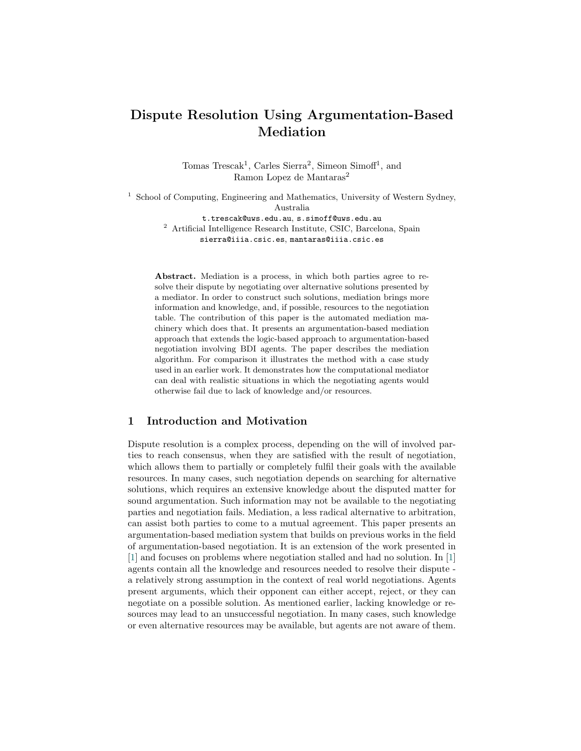# Dispute Resolution Using Argumentation-Based Mediation

Tomas Trescak<sup>1</sup>, Carles Sierra<sup>2</sup>, Simeon Simoff<sup>1</sup>, and Ramon Lopez de Mantaras<sup>2</sup>

<sup>1</sup> School of Computing, Engineering and Mathematics, University of Western Sydney, Australia t.trescak@uws.edu.au, s.simoff@uws.edu.au

<sup>2</sup> Artificial Intelligence Research Institute, CSIC, Barcelona, Spain sierra@iiia.csic.es, mantaras@iiia.csic.es

Abstract. Mediation is a process, in which both parties agree to resolve their dispute by negotiating over alternative solutions presented by a mediator. In order to construct such solutions, mediation brings more information and knowledge, and, if possible, resources to the negotiation table. The contribution of this paper is the automated mediation machinery which does that. It presents an argumentation-based mediation approach that extends the logic-based approach to argumentation-based negotiation involving BDI agents. The paper describes the mediation algorithm. For comparison it illustrates the method with a case study used in an earlier work. It demonstrates how the computational mediator can deal with realistic situations in which the negotiating agents would otherwise fail due to lack of knowledge and/or resources.

# 1 Introduction and Motivation

Dispute resolution is a complex process, depending on the will of involved parties to reach consensus, when they are satisfied with the result of negotiation, which allows them to partially or completely fulfil their goals with the available resources. In many cases, such negotiation depends on searching for alternative solutions, which requires an extensive knowledge about the disputed matter for sound argumentation. Such information may not be available to the negotiating parties and negotiation fails. Mediation, a less radical alternative to arbitration, can assist both parties to come to a mutual agreement. This paper presents an argumentation-based mediation system that builds on previous works in the field of argumentation-based negotiation. It is an extension of the work presented in [\[1\]](#page-10-0) and focuses on problems where negotiation stalled and had no solution. In [\[1\]](#page-10-0) agents contain all the knowledge and resources needed to resolve their dispute a relatively strong assumption in the context of real world negotiations. Agents present arguments, which their opponent can either accept, reject, or they can negotiate on a possible solution. As mentioned earlier, lacking knowledge or resources may lead to an unsuccessful negotiation. In many cases, such knowledge or even alternative resources may be available, but agents are not aware of them.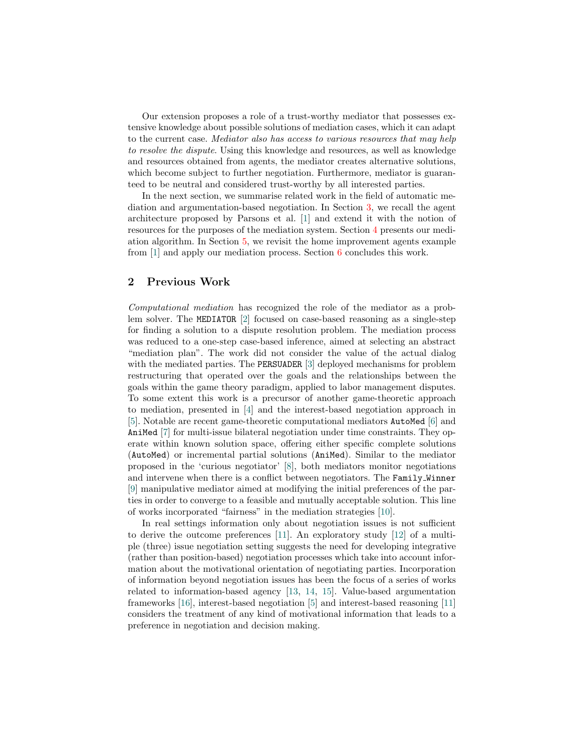Our extension proposes a role of a trust-worthy mediator that possesses extensive knowledge about possible solutions of mediation cases, which it can adapt to the current case. Mediator also has access to various resources that may help to resolve the dispute. Using this knowledge and resources, as well as knowledge and resources obtained from agents, the mediator creates alternative solutions, which become subject to further negotiation. Furthermore, mediator is guaranteed to be neutral and considered trust-worthy by all interested parties.

In the next section, we summarise related work in the field of automatic mediation and argumentation-based negotiation. In Section [3,](#page-2-0) we recall the agent architecture proposed by Parsons et al. [\[1\]](#page-10-0) and extend it with the notion of resources for the purposes of the mediation system. Section [4](#page-3-0) presents our mediation algorithm. In Section [5,](#page-4-0) we revisit the home improvement agents example from [\[1\]](#page-10-0) and apply our mediation process. Section [6](#page-10-1) concludes this work.

### 2 Previous Work

Computational mediation has recognized the role of the mediator as a problem solver. The MEDIATOR [\[2\]](#page-10-2) focused on case-based reasoning as a single-step for finding a solution to a dispute resolution problem. The mediation process was reduced to a one-step case-based inference, aimed at selecting an abstract "mediation plan". The work did not consider the value of the actual dialog with the mediated parties. The PERSUADER [\[3\]](#page-10-3) deployed mechanisms for problem restructuring that operated over the goals and the relationships between the goals within the game theory paradigm, applied to labor management disputes. To some extent this work is a precursor of another game-theoretic approach to mediation, presented in [\[4\]](#page-10-4) and the interest-based negotiation approach in [\[5\]](#page-10-5). Notable are recent game-theoretic computational mediators AutoMed [\[6\]](#page-10-6) and AniMed [\[7\]](#page-10-7) for multi-issue bilateral negotiation under time constraints. They operate within known solution space, offering either specific complete solutions (AutoMed) or incremental partial solutions (AniMed). Similar to the mediator proposed in the 'curious negotiator' [\[8\]](#page-10-8), both mediators monitor negotiations and intervene when there is a conflict between negotiators. The Family Winner [\[9\]](#page-10-9) manipulative mediator aimed at modifying the initial preferences of the parties in order to converge to a feasible and mutually acceptable solution. This line of works incorporated "fairness" in the mediation strategies [\[10\]](#page-10-10).

In real settings information only about negotiation issues is not sufficient to derive the outcome preferences [\[11\]](#page-10-11). An exploratory study [\[12\]](#page-11-0) of a multiple (three) issue negotiation setting suggests the need for developing integrative (rather than position-based) negotiation processes which take into account information about the motivational orientation of negotiating parties. Incorporation of information beyond negotiation issues has been the focus of a series of works related to information-based agency [\[13,](#page-11-1) [14,](#page-11-2) [15\]](#page-11-3). Value-based argumentation frameworks [\[16\]](#page-11-4), interest-based negotiation [\[5\]](#page-10-5) and interest-based reasoning [\[11\]](#page-10-11) considers the treatment of any kind of motivational information that leads to a preference in negotiation and decision making.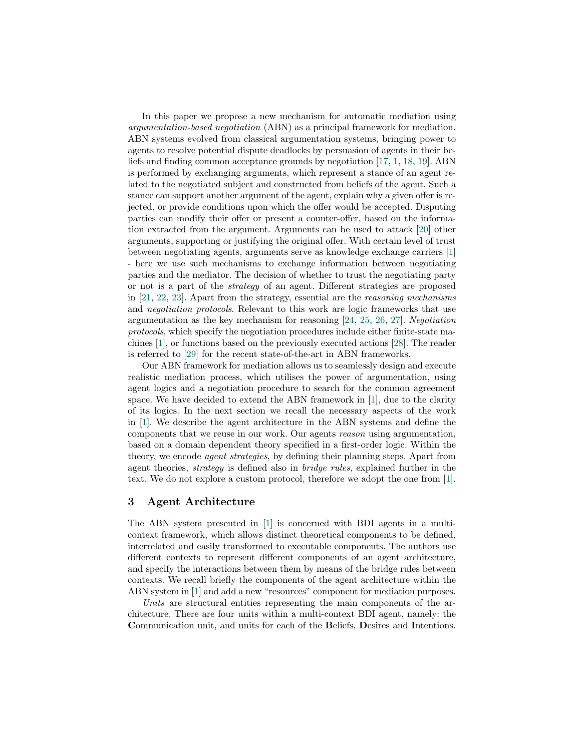In this paper we propose a new mechanism for automatic mediation using argumentation-based negotiation (ABN) as a principal framework for mediation. ABN systems evolved from classical argumentation systems, bringing power to agents to resolve potential dispute deadlocks by persuasion of agents in their beliefs and finding common acceptance grounds by negotiation [\[17,](#page-11-5) [1,](#page-10-0) [18,](#page-11-6) [19\]](#page-11-7). ABN is performed by exchanging arguments, which represent a stance of an agent related to the negotiated subject and constructed from beliefs of the agent. Such a stance can support another argument of the agent, explain why a given offer is rejected, or provide conditions upon which the offer would be accepted. Disputing parties can modify their offer or present a counter-offer, based on the information extracted from the argument. Arguments can be used to attack [\[20\]](#page-11-8) other arguments, supporting or justifying the original offer. With certain level of trust between negotiating agents, arguments serve as knowledge exchange carriers [\[1\]](#page-10-0) - here we use such mechanisms to exchange information between negotiating parties and the mediator. The decision of whether to trust the negotiating party or not is a part of the strategy of an agent. Different strategies are proposed in [\[21,](#page-11-9) [22,](#page-11-10) [23\]](#page-11-11). Apart from the strategy, essential are the reasoning mechanisms and negotiation protocols. Relevant to this work are logic frameworks that use argumentation as the key mechanism for reasoning [\[24,](#page-11-12) [25,](#page-11-13) [26,](#page-11-14) [27\]](#page-11-15). Negotiation protocols, which specify the negotiation procedures include either finite-state machines [\[1\]](#page-10-0), or functions based on the previously executed actions [\[28\]](#page-11-16). The reader is referred to [\[29\]](#page-11-17) for the recent state-of-the-art in ABN frameworks.

Our ABN framework for mediation allows us to seamlessly design and execute realistic mediation process, which utilises the power of argumentation, using agent logics and a negotiation procedure to search for the common agreement space. We have decided to extend the ABN framework in  $[1]$ , due to the clarity of its logics. In the next section we recall the necessary aspects of the work in [\[1\]](#page-10-0). We describe the agent architecture in the ABN systems and define the components that we reuse in our work. Our agents reason using argumentation, based on a domain dependent theory specified in a first-order logic. Within the theory, we encode agent strategies, by defining their planning steps. Apart from agent theories, strategy is defined also in bridge rules, explained further in the text. We do not explore a custom protocol, therefore we adopt the one from [\[1\]](#page-10-0).

### <span id="page-2-0"></span>3 Agent Architecture

The ABN system presented in [\[1\]](#page-10-0) is concerned with BDI agents in a multicontext framework, which allows distinct theoretical components to be defined, interrelated and easily transformed to executable components. The authors use different contexts to represent different components of an agent architecture, and specify the interactions between them by means of the bridge rules between contexts. We recall briefly the components of the agent architecture within the ABN system in [\[1\]](#page-10-0) and add a new "resources" component for mediation purposes.

Units are structural entities representing the main components of the architecture. There are four units within a multi-context BDI agent, namely: the Communication unit, and units for each of the Beliefs, Desires and Intentions.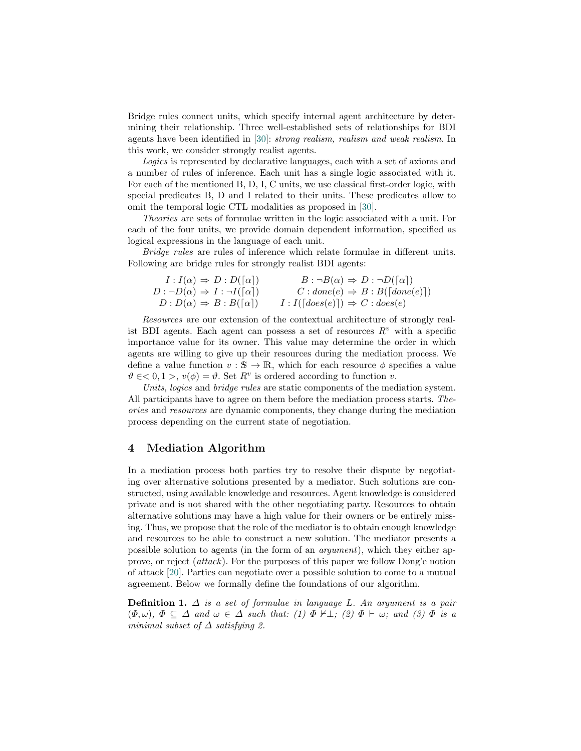Bridge rules connect units, which specify internal agent architecture by determining their relationship. Three well-established sets of relationships for BDI agents have been identified in [\[30\]](#page-11-18): strong realism, realism and weak realism. In this work, we consider strongly realist agents.

Logics is represented by declarative languages, each with a set of axioms and a number of rules of inference. Each unit has a single logic associated with it. For each of the mentioned B, D, I, C units, we use classical first-order logic, with special predicates B, D and I related to their units. These predicates allow to omit the temporal logic CTL modalities as proposed in [\[30\]](#page-11-18).

Theories are sets of formulae written in the logic associated with a unit. For each of the four units, we provide domain dependent information, specified as logical expressions in the language of each unit.

Bridge rules are rules of inference which relate formulae in different units. Following are bridge rules for strongly realist BDI agents:

| $I: I(\alpha) \Rightarrow D: D([\alpha])$             | $B: \neg B(\alpha) \Rightarrow D: \neg D([\alpha])$ |
|-------------------------------------------------------|-----------------------------------------------------|
| $D : \neg D(\alpha) \Rightarrow I : \neg I([\alpha])$ | $C : done(e) \Rightarrow B : B([done(e)])$          |
| $D: D(\alpha) \Rightarrow B: B([\alpha])$             | $I: I([does(e)]) \Rightarrow C: does(e)$            |

Resources are our extension of the contextual architecture of strongly realist BDI agents. Each agent can possess a set of resources  $R<sup>v</sup>$  with a specific importance value for its owner. This value may determine the order in which agents are willing to give up their resources during the mediation process. We define a value function  $v : \mathbb{S} \to \mathbb{R}$ , which for each resource  $\phi$  specifies a value  $\vartheta \in 0, 1 >, v(\phi) = \vartheta$ . Set  $R^v$  is ordered according to function v.

Units, logics and bridge rules are static components of the mediation system. All participants have to agree on them before the mediation process starts. Theories and resources are dynamic components, they change during the mediation process depending on the current state of negotiation.

## <span id="page-3-0"></span>4 Mediation Algorithm

In a mediation process both parties try to resolve their dispute by negotiating over alternative solutions presented by a mediator. Such solutions are constructed, using available knowledge and resources. Agent knowledge is considered private and is not shared with the other negotiating party. Resources to obtain alternative solutions may have a high value for their owners or be entirely missing. Thus, we propose that the role of the mediator is to obtain enough knowledge and resources to be able to construct a new solution. The mediator presents a possible solution to agents (in the form of an argument), which they either approve, or reject (attack). For the purposes of this paper we follow Dong'e notion of attack [\[20\]](#page-11-8). Parties can negotiate over a possible solution to come to a mutual agreement. Below we formally define the foundations of our algorithm.

**Definition 1.**  $\Delta$  is a set of formulae in language L. An argument is a pair  $(\Phi, \omega)$ ,  $\Phi \subseteq \Delta$  and  $\omega \in \Delta$  such that: (1)  $\Phi \nvdash \bot$ ; (2)  $\Phi \vdash \omega$ ; and (3)  $\Phi$  is a minimal subset of  $\Delta$  satisfying 2.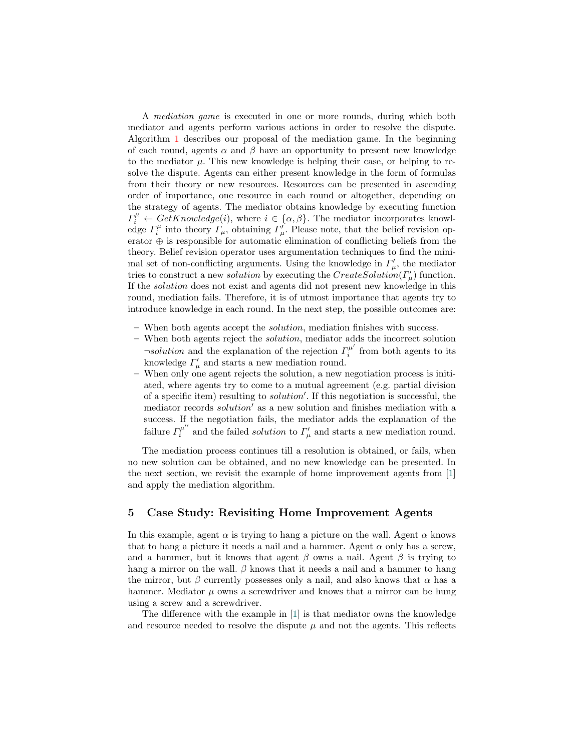A mediation game is executed in one or more rounds, during which both mediator and agents perform various actions in order to resolve the dispute. Algorithm [1](#page-5-0) describes our proposal of the mediation game. In the beginning of each round, agents  $\alpha$  and  $\beta$  have an opportunity to present new knowledge to the mediator  $\mu$ . This new knowledge is helping their case, or helping to resolve the dispute. Agents can either present knowledge in the form of formulas from their theory or new resources. Resources can be presented in ascending order of importance, one resource in each round or altogether, depending on the strategy of agents. The mediator obtains knowledge by executing function  $\Gamma_i^{\mu} \leftarrow GetKnowledge(i),$  where  $i \in {\alpha, \beta}$ . The mediator incorporates knowledge  $\Gamma_i^{\mu}$  into theory  $\Gamma_{\mu}$ , obtaining  $\Gamma_{\mu}^{\prime}$ . Please note, that the belief revision operator ⊕ is responsible for automatic elimination of conflicting beliefs from the theory. Belief revision operator uses argumentation techniques to find the minimal set of non-conflicting arguments. Using the knowledge in  $\Gamma_{\mu}^{\prime}$ , the mediator tries to construct a new *solution* by executing the  $CreateSolution(\Gamma_{\mu}')$  function. If the solution does not exist and agents did not present new knowledge in this round, mediation fails. Therefore, it is of utmost importance that agents try to introduce knowledge in each round. In the next step, the possible outcomes are:

- When both agents accept the *solution*, mediation finishes with success.
- When both agents reject the *solution*, mediator adds the incorrect solution  $\neg solution$  and the explanation of the rejection  $\Gamma_i^{\mu'}$  $i^{\mu}$  from both agents to its knowledge  $\Gamma^{\prime}_{\mu}$  and starts a new mediation round.
- When only one agent rejects the solution, a new negotiation process is initiated, where agents try to come to a mutual agreement (e.g. partial division of a specific item) resulting to *solution'*. If this negotiation is successful, the mediator records *solution'* as a new solution and finishes mediation with a success. If the negotiation fails, the mediator adds the explanation of the failure  $\Gamma_i^{\mu^{\prime\prime}}$  $\mu^{\mu\nu}$  and the failed *solution* to  $\Gamma^{\prime}_{\mu}$  and starts a new mediation round.

The mediation process continues till a resolution is obtained, or fails, when no new solution can be obtained, and no new knowledge can be presented. In the next section, we revisit the example of home improvement agents from [\[1\]](#page-10-0) and apply the mediation algorithm.

# <span id="page-4-0"></span>5 Case Study: Revisiting Home Improvement Agents

In this example, agent  $\alpha$  is trying to hang a picture on the wall. Agent  $\alpha$  knows that to hang a picture it needs a nail and a hammer. Agent  $\alpha$  only has a screw, and a hammer, but it knows that agent  $\beta$  owns a nail. Agent  $\beta$  is trying to hang a mirror on the wall.  $\beta$  knows that it needs a nail and a hammer to hang the mirror, but  $\beta$  currently possesses only a nail, and also knows that  $\alpha$  has a hammer. Mediator  $\mu$  owns a screwdriver and knows that a mirror can be hung using a screw and a screwdriver.

The difference with the example in [\[1\]](#page-10-0) is that mediator owns the knowledge and resource needed to resolve the dispute  $\mu$  and not the agents. This reflects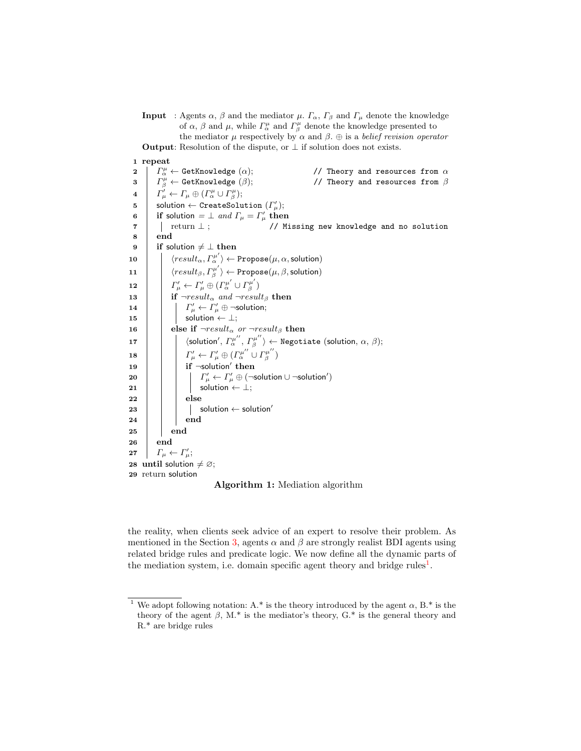**Input** : Agents  $\alpha$ ,  $\beta$  and the mediator  $\mu$ .  $\Gamma_{\alpha}$ ,  $\Gamma_{\beta}$  and  $\Gamma_{\mu}$  denote the knowledge of  $\alpha$ ,  $\beta$  and  $\mu$ , while  $\Gamma^{\mu}_{\alpha}$  and  $\Gamma^{\mu}_{\beta}$  denote the knowledge presented to the mediator  $\mu$  respectively by  $\alpha$  and  $\beta$ .  $\oplus$  is a *belief revision operator* **Output:** Resolution of the dispute, or  $\perp$  if solution does not exists.

1 repeat

2 |  $\Gamma^{\mu}_{\alpha}$ // Theory and resources from  $\alpha$  $3 \mid \Gamma_{\beta}^{\mu}$  $\ell$ / Theory and resources from β 4  $\Gamma^{\prime}_{\mu} \leftarrow \Gamma_{\mu} \oplus (\Gamma^{\mu}_{\alpha} \cup \Gamma^{\mu}_{\beta});$  $\mathbf{5}$  solution  $\leftarrow$  CreateSolution  $(\Gamma_{\mu}')$ ; 6 if solution  $=$   $\perp$  and  $\Gamma_{\mu} = \Gamma_{\mu}'$  then  $7$  | | return  $\perp$  ; // Missing new knowledge and no solution 8 end 9 if solution  $\neq \perp$  then 10  $\left| \quad \right|$   $\langle result_{\alpha}, \Gamma_{\alpha}^{\mu'} \rangle \leftarrow \texttt{Propose}(\mu, \alpha, \textsf{solution})$ 11  $\Big|$   $\langle result_\beta, \Gamma^{\mu'}_\beta \rangle$  $\ket{\pi^\mu_\beta} \gets \texttt{Propose}(\mu,\beta,\textsf{solution})$ 12  $\boxed{ }$   $\boxed{ }$   $\boxed{ }$   $\boxed{ }$   $\boxed{ }$   $\left( \boxed{ }$   $\frac{1}{\mu}\leftarrow\boxed{ }$   $\boxed{ }$   $\boxed{ }$   $\boxed{ }$   $\frac{1}{\mu}\leftarrow\frac{1}{\mu}\oplus\frac{1}{\mu}\left(\frac{1}{\mu}\right)^{\mu'}\cup\frac{1}{\mu'}\right)$  $\binom{\mu}{\beta}$ 13 | if  $\neg result_{\alpha}$  and  $\neg result_{\beta}$  then 14  $|\quad| \quad \Gamma_{\mu}' \leftarrow \Gamma_{\mu}' \oplus \neg$ solution; 15  $\vert \vert$  solution  $\leftarrow \perp$ ; 16 else if  $\neg result_{\alpha}$  or  $\neg result_{\beta}$  then 17  $|\hspace{.1cm} \rangle$   $\hspace{.1cm} \rangle$   $\hspace{.1cm} \langle$  solution $^{\prime}, \Gamma_{\alpha}^{\mu^{\prime \prime}}, \Gamma_{\beta}^{\mu^{\prime \prime}} \rangle$  $\langle \hat{\mathbf{g}}^{\mu\nu}\rangle \leftarrow \texttt{Negotiate}$  (solution,  $\alpha,\,\beta);$ 18  $\boxed{ }$   $\boxed{ }$   $\boxed{ }$   $\boxed{ }$   $\boxed{ }$   $\boxed{ }$   $\left( \boxed{ }^{\mu^{\prime\prime}}_{\alpha}\cup\boxed{ }^{\mu^{\prime\prime}}_{\beta}\right)$  $\binom{\mu}{\beta}$ 19  $\parallel$   $\parallel$  if  $\neg$ solution' then 20  $\begin{vmatrix} \cdot & \cdot & \cdot \\ \cdot & \cdot & \cdot \\ \cdot & \cdot & \cdot \end{vmatrix}$   $\begin{vmatrix} I'_\mu & \leftarrow & I'_\mu \oplus (\neg \text{solution} \cup \neg \text{solution}') \end{vmatrix}$  $21$  | | solution ←  $\perp$ ;  $22$  | | else  $23$  | | | solution ← solution'  $24$  | | end 25 | end 26 end 27  $\left| \right. \left. \right| \left. \right. \left. \right| F_{\mu} \leftarrow \Gamma_{\mu}^{\prime};$ 28 until solution  $\neq \emptyset$ ; 29 return solution

<span id="page-5-0"></span>Algorithm 1: Mediation algorithm

the reality, when clients seek advice of an expert to resolve their problem. As mentioned in the Section [3,](#page-2-0) agents  $\alpha$  and  $\beta$  are strongly realist BDI agents using related bridge rules and predicate logic. We now define all the dynamic parts of the mediation system, i.e. domain specific agent theory and bridge rules<sup>[1](#page-5-1)</sup>.

<span id="page-5-1"></span><sup>&</sup>lt;sup>1</sup> We adopt following notation: A.\* is the theory introduced by the agent  $\alpha$ , B.\* is the theory of the agent  $\beta$ , M.<sup>\*</sup> is the mediator's theory, G.<sup>\*</sup> is the general theory and R.\* are bridge rules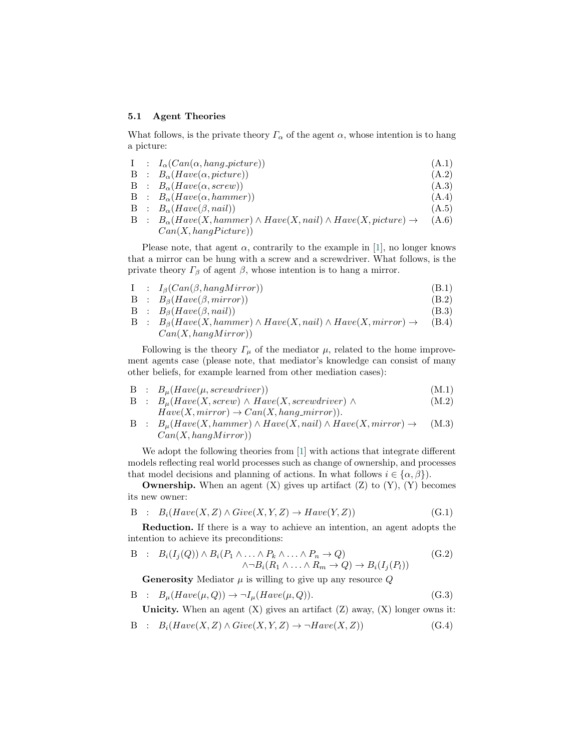#### 5.1 Agent Theories

What follows, is the private theory  $\Gamma_{\alpha}$  of the agent  $\alpha$ , whose intention is to hang a picture:

|  | $I : I_{\alpha}(Can(\alpha, hang\_picture))$                                              | (A.1) |
|--|-------------------------------------------------------------------------------------------|-------|
|  | $B : B_{\alpha}(Have(\alpha, picture))$                                                   | (A.2) |
|  | $B : B_{\alpha}(Have(\alpha, screw))$                                                     | (A.3) |
|  | $B : B_{\alpha}(Have(\alpha, hammer))$                                                    | (A.4) |
|  | $B : B_{\alpha}(Have(\beta, nail))$                                                       | (A.5) |
|  | $B : B_{\alpha}(Have(X, hammer) \wedge Have(X, nail) \wedge Have(X, picture) \rightarrow$ | (A.6) |
|  | Can(X, hangPicture))                                                                      |       |

Please note, that agent  $\alpha$ , contrarily to the example in [\[1\]](#page-10-0), no longer knows that a mirror can be hung with a screw and a screwdriver. What follows, is the private theory  $\Gamma_\beta$  of agent  $\beta$ , whose intention is to hang a mirror.

- $I : I_{\beta}(Can(\beta, hangMirror))$  (B.1)
- B :  $B_{\beta}(Have(\beta, mirror))$  (B.2)
- B :  $B_{\beta}(Have(\beta, nail))$  (B.3)
- $B : B_{\beta}(Have(X, hammer) \wedge Have(X, nail) \wedge Have(X, mirror) \rightarrow$  $Can(X, hangMirror))$ (B.4)

Following is the theory  $\Gamma_{\mu}$  of the mediator  $\mu$ , related to the home improvement agents case (please note, that mediator's knowledge can consist of many other beliefs, for example learned from other mediation cases):

- $B : B_u(Have(\mu, screwdriver))$  (M.1)
- B :  $B_{\mu}(Have(X, screw) \wedge Have(X, screwdriver) \wedge$ (M.2)
- $Have(X, mirror) \rightarrow Can(X, hang\_mirror)).$  $B : B_u(Have(X, hammer) \wedge Have(X, nail) \wedge Have(X, mirror) \rightarrow$  $Can(X, hangMirror))$ (M.3)

We adopt the following theories from [\[1\]](#page-10-0) with actions that integrate different models reflecting real world processes such as change of ownership, and processes that model decisions and planning of actions. In what follows  $i \in {\alpha, \beta}$ .

**Ownership.** When an agent  $(X)$  gives up artifact  $(Z)$  to  $(Y)$ ,  $(Y)$  becomes its new owner:

$$
B : B_i(Have(X, Z) \land Give(X, Y, Z) \rightarrow Have(Y, Z))
$$
\n(G.1)

Reduction. If there is a way to achieve an intention, an agent adopts the intention to achieve its preconditions:

$$
B : B_i(I_j(Q)) \wedge B_i(P_1 \wedge \ldots \wedge P_k \wedge \ldots \wedge P_n \to Q) \qquad (G.2)
$$
  

$$
\wedge \neg B_i(R_1 \wedge \ldots \wedge R_m \to Q) \to B_i(I_j(P_i))
$$

**Generosity** Mediator  $\mu$  is willing to give up any resource  $Q$ 

B :  $B_{\mu}(Have(\mu, Q)) \rightarrow \neg I_{\mu}(Have(\mu, Q)).$  (G.3)

Unicity. When an agent  $(X)$  gives an artifact  $(Z)$  away,  $(X)$  longer owns it:

B :  $B_i(Have(X, Z) \wedge Give(X, Y, Z) \rightarrow \neg Have(X, Z))$  (G.4)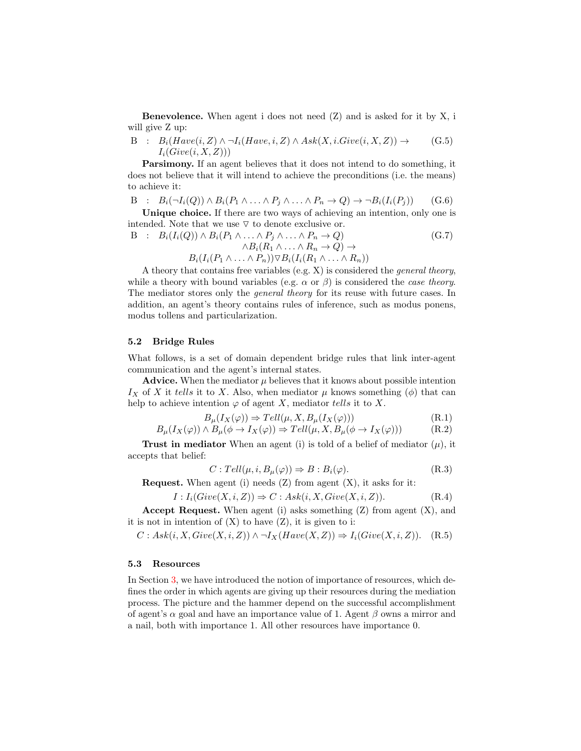**Benevolence.** When agent i does not need  $(Z)$  and is asked for it by  $X$ , i will give Z up:

B : 
$$
B_i(Have(i, Z) \land \neg I_i(Have, i, Z) \land Ask(X, i.Give(i, X, Z)) \rightarrow I_i(Give(i, X, Z)))
$$
 (G.5)

Parsimony. If an agent believes that it does not intend to do something, it does not believe that it will intend to achieve the preconditions (i.e. the means) to achieve it:

$$
B : B_i(\neg I_i(Q)) \wedge B_i(P_1 \wedge \ldots \wedge P_j \wedge \ldots \wedge P_n \rightarrow Q) \rightarrow \neg B_i(I_i(P_j))
$$
 (G.6)

Unique choice. If there are two ways of achieving an intention, only one is intended. Note that we use  $\nabla$  to denote exclusive or.

$$
B : B_i(I_i(Q)) \wedge B_i(P_1 \wedge \ldots \wedge P_j \wedge \ldots \wedge P_n \rightarrow Q) \wedge B_i(R_1 \wedge \ldots \wedge R_n \rightarrow Q) \rightarrow
$$
  
\n
$$
B_i(I_i(P_1 \wedge \ldots \wedge P_n)) \triangledown B_i(I_i(R_1 \wedge \ldots \wedge R_n))
$$
  
\n(G.7)

A theory that contains free variables (e.g. X) is considered the general theory, while a theory with bound variables (e.g.  $\alpha$  or  $\beta$ ) is considered the *case theory*. The mediator stores only the general theory for its reuse with future cases. In addition, an agent's theory contains rules of inference, such as modus ponens, modus tollens and particularization.

#### 5.2 Bridge Rules

What follows, is a set of domain dependent bridge rules that link inter-agent communication and the agent's internal states.

Advice. When the mediator  $\mu$  believes that it knows about possible intention  $I_X$  of X it tells it to X. Also, when mediator  $\mu$  knows something ( $\phi$ ) that can help to achieve intention  $\varphi$  of agent X, mediator tells it to X.

$$
B_{\mu}(I_X(\varphi)) \Rightarrow Tell(\mu, X, B_{\mu}(I_X(\varphi)))
$$
\n(R.1)

$$
B_{\mu}(I_X(\varphi)) \wedge B_{\mu}(\phi \to I_X(\varphi)) \Rightarrow Tell(\mu, X, B_{\mu}(\phi \to I_X(\varphi)))
$$
 (R.2)

**Trust in mediator** When an agent (i) is told of a belief of mediator  $(\mu)$ , it accepts that belief:

$$
C: Tell(\mu, i, B_{\mu}(\varphi)) \Rightarrow B: B_i(\varphi). \tag{R.3}
$$

**Request.** When agent (i) needs  $(Z)$  from agent  $(X)$ , it asks for it:

$$
I: I_i(Give(X, i, Z)) \Rightarrow C: Ask(i, X, Give(X, i, Z)).
$$
 (R.4)

**Accept Request.** When agent (i) asks something  $(Z)$  from agent  $(X)$ , and it is not in intention of  $(X)$  to have  $(Z)$ , it is given to i:

 $C: Ask(i, X, Give(X, i, Z)) \land \neg I_X(Have(X, Z)) \Rightarrow I_i(Give(X, i, Z)).$  (R.5)

#### 5.3 Resources

In Section [3,](#page-2-0) we have introduced the notion of importance of resources, which defines the order in which agents are giving up their resources during the mediation process. The picture and the hammer depend on the successful accomplishment of agent's  $\alpha$  goal and have an importance value of 1. Agent  $\beta$  owns a mirror and a nail, both with importance 1. All other resources have importance 0.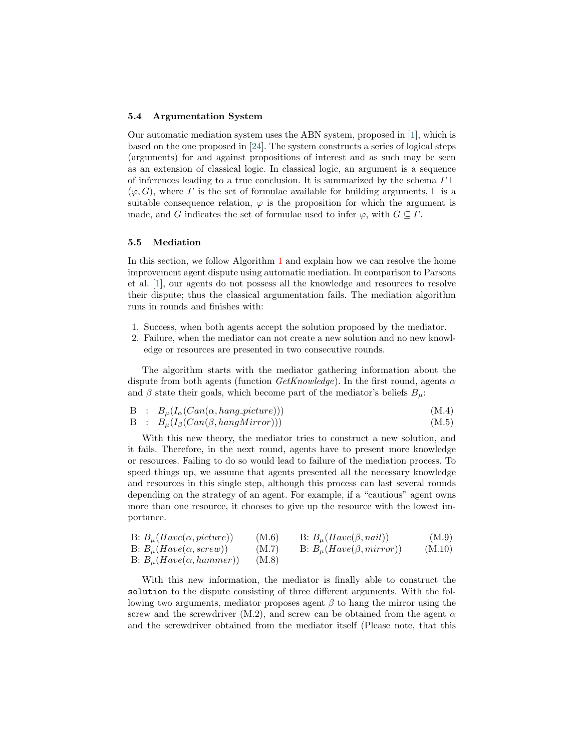#### 5.4 Argumentation System

Our automatic mediation system uses the ABN system, proposed in [\[1\]](#page-10-0), which is based on the one proposed in [\[24\]](#page-11-12). The system constructs a series of logical steps (arguments) for and against propositions of interest and as such may be seen as an extension of classical logic. In classical logic, an argument is a sequence of inferences leading to a true conclusion. It is summarized by the schema  $\Gamma \vdash$  $(\varphi, G)$ , where  $\Gamma$  is the set of formulae available for building arguments,  $\vdash$  is a suitable consequence relation,  $\varphi$  is the proposition for which the argument is made, and G indicates the set of formulae used to infer  $\varphi$ , with  $G \subseteq \Gamma$ .

#### 5.5 Mediation

In this section, we follow Algorithm [1](#page-5-0) and explain how we can resolve the home improvement agent dispute using automatic mediation. In comparison to Parsons et al. [\[1\]](#page-10-0), our agents do not possess all the knowledge and resources to resolve their dispute; thus the classical argumentation fails. The mediation algorithm runs in rounds and finishes with:

- 1. Success, when both agents accept the solution proposed by the mediator.
- 2. Failure, when the mediator can not create a new solution and no new knowledge or resources are presented in two consecutive rounds.

The algorithm starts with the mediator gathering information about the dispute from both agents (function  $GetKnowledge)$ ). In the first round, agents  $\alpha$ and  $\beta$  state their goals, which become part of the mediator's beliefs  $B_{\mu}$ :

$$
B : B_{\mu}(I_{\alpha}(Can(\alpha, hang-picture))) \tag{M.4}
$$

B :  $B_{\mu}(I_{\beta}(Can(\beta, hangMirror)))$  (M.5)

With this new theory, the mediator tries to construct a new solution, and it fails. Therefore, in the next round, agents have to present more knowledge or resources. Failing to do so would lead to failure of the mediation process. To speed things up, we assume that agents presented all the necessary knowledge and resources in this single step, although this process can last several rounds depending on the strategy of an agent. For example, if a "cautious" agent owns more than one resource, it chooses to give up the resource with the lowest importance.

| B: $B_u(Have(\alpha, picture))$ | (M.6) | B: $B_u(Have(\beta, nail))$       | (M.9)  |
|---------------------------------|-------|-----------------------------------|--------|
| B: $B_u(Have(\alpha, screw))$   | (M.7) | B: $B_{\mu}(Have(\beta, mirror))$ | (M.10) |
| B: $B_u(Have(\alpha, hammer))$  | (M.8) |                                   |        |

With this new information, the mediator is finally able to construct the solution to the dispute consisting of three different arguments. With the following two arguments, mediator proposes agent  $\beta$  to hang the mirror using the screw and the screwdriver (M.2), and screw can be obtained from the agent  $\alpha$ and the screwdriver obtained from the mediator itself (Please note, that this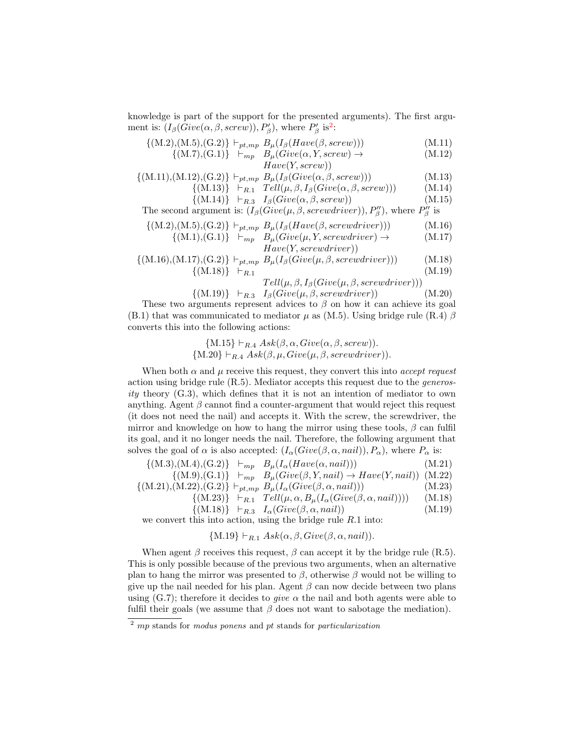knowledge is part of the support for the presented arguments). The first argument is:  $(I_\beta(Give(\alpha, \beta, screw)), P'_\beta)$ , where  $P'_\beta$  is<sup>[2](#page-9-0)</sup>:

$$
\{(M.2), (M.5), (G.2)\} \vdash_{pt, mp} B_{\mu}(I_{\beta}(Have(\beta, screw)))
$$
\n(M.11)

$$
\{(M.7),(G.1)\} \quad \vdash_{mp} \quad B_{\mu}(Give(\alpha, Y, screw) \to \qquad \qquad (M.12)
$$
\n
$$
Have(Y, screw))
$$

$$
\{(M.11), (M.12), (G.2)\} \vdash_{pt, mp} B_{\mu}(I_{\beta}(Give(\alpha, \beta, screw)))
$$
\n(M.13)

$$
\{(M.13)\}\n\begin{array}{ccc}\nF_{R,1} & Tell(\mu, \beta, I_{\beta}(Give(\alpha, \beta, screw))) & (M.14) \\
\{(M.14)\}\n\begin{array}{ccc}\nF_{R,2} & I_{\beta}(Give(\alpha, \beta, screw)) & (M.15)\n\end{array}\n\end{array}
$$

$$
\{ (M.14) \} + R.3 \quad 1\beta (G\ell \nu e(\alpha, \beta, \text{scre}(w))) \tag{M.10}
$$

The second argument is:  $(I_\beta(\text{Give}(\mu, \beta, \text{server})), P''_\beta)$ , where  $P''_\beta$  is

$$
\{(M.2), (M.5), (G.2)\}\vdash_{pt, mp} B_{\mu}(I_{\beta}(Have(\beta, screwdriver)))
$$
 (M.16)

$$
\{(M.1), (G.1)\} \quad \vdash_{mp} \quad B_{\mu}(Give(\mu, Y, screwdriver) \to \qquad (M.17)
$$
\n
$$
H_{\text{cyc}}(Y, comouphinom))
$$

$$
Have(Y, screwariver))
$$

$$
\{(M.16), (M.17), (G.2)\} \vdash_{pt, mp} B_{\mu}(I_{\beta}(Give(\mu, \beta, screwdriver))) \tag{M.18} \{(M.18)\} \vdash_{R.1} \tag{M.19}
$$

$$
Tell(\mu, \beta, I_{\beta}(Give(\mu, \beta, screwdriver)))
$$

$$
\{(M.19)\} \vdash_{R.3} I_{\beta}(Give(\mu, \beta, screwdriver))
$$
 (M.20)  
These two arguments represent advice to  $\beta$  on how it can achieve its goal  
(B.1) that was communicated to mediator  $\mu$  as (M.5). Using bridge rule (R.4)  $\beta$   
converts this into the following actions:

{M.15} 
$$
\vdash_{R.4} Ask(\beta, \alpha, Give(\alpha, \beta, screw)).
$$
  
{M.20}  $\vdash_{R.4} Ask(\beta, \mu, Give(\mu, \beta, screwdriver)).$ 

When both  $\alpha$  and  $\mu$  receive this request, they convert this into *accept request* action using bridge rule  $(R.5)$ . Mediator accepts this request due to the *generos*ity theory  $(G.3)$ , which defines that it is not an intention of mediator to own anything. Agent  $\beta$  cannot find a counter-argument that would reject this request (it does not need the nail) and accepts it. With the screw, the screwdriver, the mirror and knowledge on how to hang the mirror using these tools,  $\beta$  can fulfil its goal, and it no longer needs the nail. Therefore, the following argument that solves the goal of  $\alpha$  is also accepted:  $(I_{\alpha}(Give(\beta, \alpha, nail)), P_{\alpha})$ , where  $P_{\alpha}$  is:

$$
\{(M.3), (M.4), (G.2)\} \vdash_{mp} B_{\mu}(I_{\alpha}(Have(\alpha, nail))) \qquad (M.21)\{ (M.9), (G.1)\} \vdash_{mp} B_{\mu}(Give(\beta, Y, nail) \rightarrow Have(Y, nail)) \quad (M.22)\{ (M.21), (M.22), (G.2)\} \vdash_{pt, mp} B_{\mu}(I_{\alpha}(Give(\beta, \alpha, nail))) \qquad (M.23)\{ (M.23)\} \vdash_{R.1} Tell(\mu, \alpha, B_{\mu}(I_{\alpha}(Give(\beta, \alpha, nail))) \qquad (M.18)
$$

$$
\{(M.18)\} \vdash_{R.3} I_{\alpha}(Give(\beta, \alpha, nail)) \qquad (M.19)
$$

we convert this into action, using the bridge rule  $R.1$  into:

$$
{M.19} \vdash_{R.1} Ask(\alpha, \beta, Give(\beta, \alpha, nail)).
$$

When agent  $\beta$  receives this request,  $\beta$  can accept it by the bridge rule (R.5). This is only possible because of the previous two arguments, when an alternative plan to hang the mirror was presented to  $\beta$ , otherwise  $\beta$  would not be willing to give up the nail needed for his plan. Agent  $\beta$  can now decide between two plans using (G.7); therefore it decides to *give*  $\alpha$  the nail and both agents were able to fulfil their goals (we assume that  $\beta$  does not want to sabotage the mediation).

<span id="page-9-0"></span> $^{2}$  mp stands for modus ponens and pt stands for particularization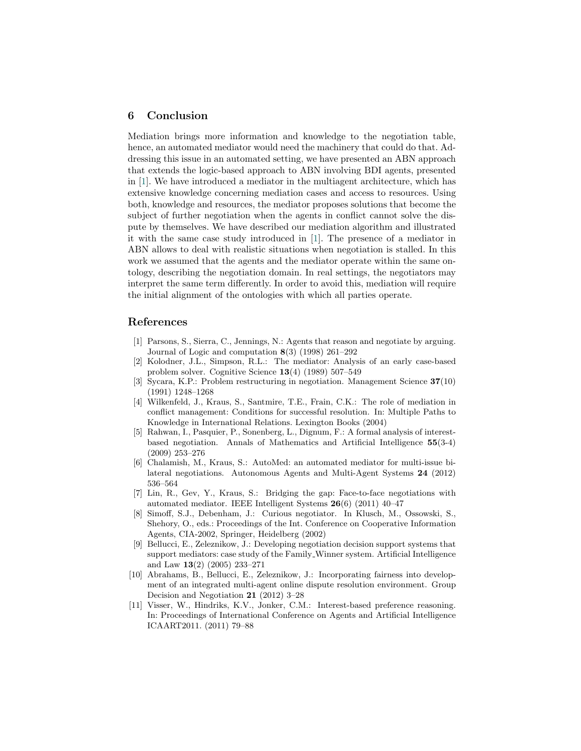# <span id="page-10-1"></span>6 Conclusion

Mediation brings more information and knowledge to the negotiation table, hence, an automated mediator would need the machinery that could do that. Addressing this issue in an automated setting, we have presented an ABN approach that extends the logic-based approach to ABN involving BDI agents, presented in [\[1\]](#page-10-0). We have introduced a mediator in the multiagent architecture, which has extensive knowledge concerning mediation cases and access to resources. Using both, knowledge and resources, the mediator proposes solutions that become the subject of further negotiation when the agents in conflict cannot solve the dispute by themselves. We have described our mediation algorithm and illustrated it with the same case study introduced in [\[1\]](#page-10-0). The presence of a mediator in ABN allows to deal with realistic situations when negotiation is stalled. In this work we assumed that the agents and the mediator operate within the same ontology, describing the negotiation domain. In real settings, the negotiators may interpret the same term differently. In order to avoid this, mediation will require the initial alignment of the ontologies with which all parties operate.

### References

- <span id="page-10-0"></span>[1] Parsons, S., Sierra, C., Jennings, N.: Agents that reason and negotiate by arguing. Journal of Logic and computation 8(3) (1998) 261–292
- <span id="page-10-2"></span>[2] Kolodner, J.L., Simpson, R.L.: The mediator: Analysis of an early case-based problem solver. Cognitive Science 13(4) (1989) 507–549
- <span id="page-10-3"></span>[3] Sycara, K.P.: Problem restructuring in negotiation. Management Science 37(10) (1991) 1248–1268
- <span id="page-10-4"></span>[4] Wilkenfeld, J., Kraus, S., Santmire, T.E., Frain, C.K.: The role of mediation in conflict management: Conditions for successful resolution. In: Multiple Paths to Knowledge in International Relations. Lexington Books (2004)
- <span id="page-10-5"></span>[5] Rahwan, I., Pasquier, P., Sonenberg, L., Dignum, F.: A formal analysis of interestbased negotiation. Annals of Mathematics and Artificial Intelligence 55(3-4) (2009) 253–276
- <span id="page-10-6"></span>[6] Chalamish, M., Kraus, S.: AutoMed: an automated mediator for multi-issue bilateral negotiations. Autonomous Agents and Multi-Agent Systems 24 (2012) 536–564
- <span id="page-10-7"></span>[7] Lin, R., Gev, Y., Kraus, S.: Bridging the gap: Face-to-face negotiations with automated mediator. IEEE Intelligent Systems 26(6) (2011) 40–47
- <span id="page-10-8"></span>[8] Simoff, S.J., Debenham, J.: Curious negotiator. In Klusch, M., Ossowski, S., Shehory, O., eds.: Proceedings of the Int. Conference on Cooperative Information Agents, CIA-2002, Springer, Heidelberg (2002)
- <span id="page-10-9"></span>[9] Bellucci, E., Zeleznikow, J.: Developing negotiation decision support systems that support mediators: case study of the Family Winner system. Artificial Intelligence and Law 13(2) (2005) 233–271
- <span id="page-10-10"></span>[10] Abrahams, B., Bellucci, E., Zeleznikow, J.: Incorporating fairness into development of an integrated multi-agent online dispute resolution environment. Group Decision and Negotiation 21 (2012) 3–28
- <span id="page-10-11"></span>[11] Visser, W., Hindriks, K.V., Jonker, C.M.: Interest-based preference reasoning. In: Proceedings of International Conference on Agents and Artificial Intelligence ICAART2011. (2011) 79–88